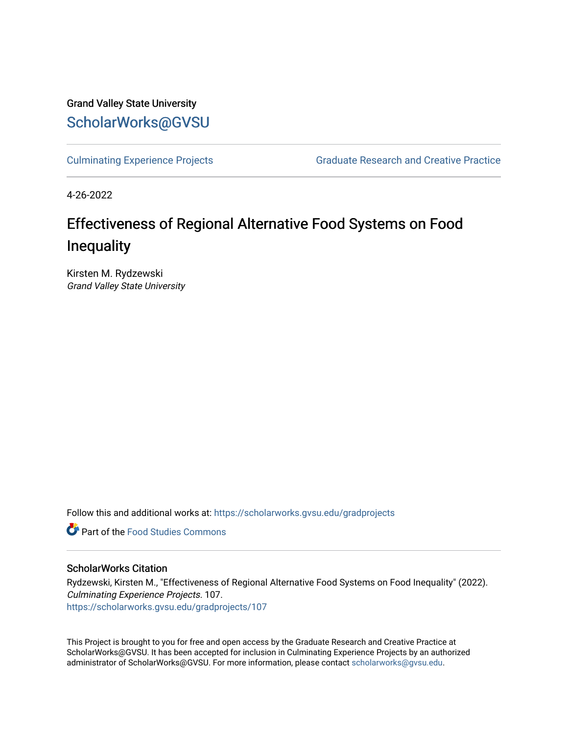Grand Valley State University [ScholarWorks@GVSU](https://scholarworks.gvsu.edu/) 

[Culminating Experience Projects](https://scholarworks.gvsu.edu/gradprojects) [Graduate Research and Creative Practice](https://scholarworks.gvsu.edu/grcp) 

4-26-2022

# Effectiveness of Regional Alternative Food Systems on Food Inequality

Kirsten M. Rydzewski Grand Valley State University

Follow this and additional works at: [https://scholarworks.gvsu.edu/gradprojects](https://scholarworks.gvsu.edu/gradprojects?utm_source=scholarworks.gvsu.edu%2Fgradprojects%2F107&utm_medium=PDF&utm_campaign=PDFCoverPages) 

**C** Part of the Food Studies Commons

## ScholarWorks Citation

Rydzewski, Kirsten M., "Effectiveness of Regional Alternative Food Systems on Food Inequality" (2022). Culminating Experience Projects. 107. [https://scholarworks.gvsu.edu/gradprojects/107](https://scholarworks.gvsu.edu/gradprojects/107?utm_source=scholarworks.gvsu.edu%2Fgradprojects%2F107&utm_medium=PDF&utm_campaign=PDFCoverPages) 

This Project is brought to you for free and open access by the Graduate Research and Creative Practice at ScholarWorks@GVSU. It has been accepted for inclusion in Culminating Experience Projects by an authorized administrator of ScholarWorks@GVSU. For more information, please contact [scholarworks@gvsu.edu](mailto:scholarworks@gvsu.edu).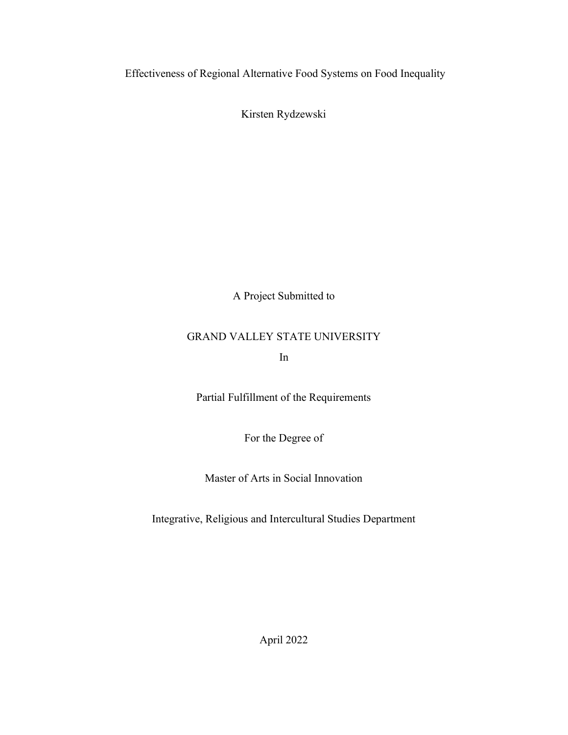Effectiveness of Regional Alternative Food Systems on Food Inequality

Kirsten Rydzewski

A Project Submitted to

# GRAND VALLEY STATE UNIVERSITY

In

Partial Fulfillment of the Requirements

For the Degree of

Master of Arts in Social Innovation

Integrative, Religious and Intercultural Studies Department

April 2022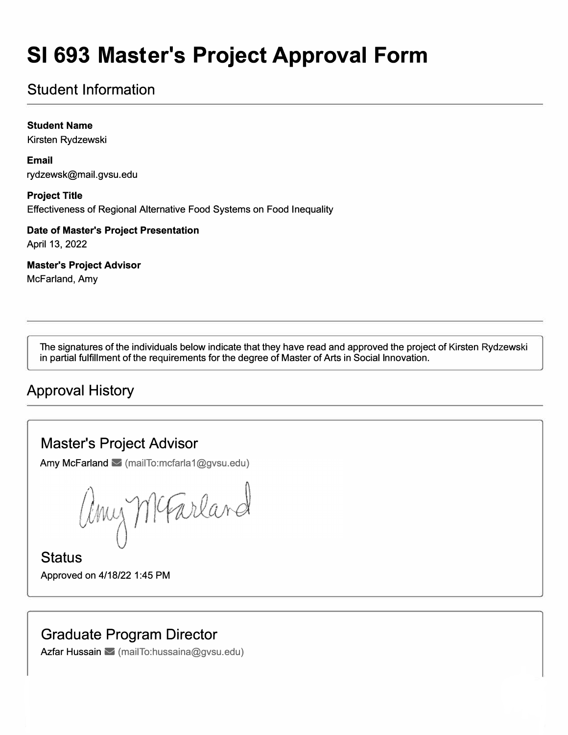# **SI 693 Master's Project Approval Form**

# Student Information

**Student Name** 

Kirsten Rydzewski

**Email**  rydzewsk@mail.gvsu.edu

**Project Title**  Efectiveness of Regional Alternative Food Systems on Food Inequality

**Date of Master's Project Presentation** 

April 13, 2022

**Master's Project Advisor** 

McFarland, Amy

The signatures of the individuals below indicate that they have read and approved the project of Kirsten Rydzewski in partial fulfillment of the requirements for the degree of Master of Arts in Social Innovation.

## Approval History

## Master's Project Advisor

Amy McFarland  $\leq$  (mailTo:mcfarla1@gvsu.edu)

any McFarland

**Status** Approved on 4/18/22 1 :45 PM

# Graduate Program Director

Azfar Hussain  $\leq$  (mailTo:hussaina@gvsu.edu)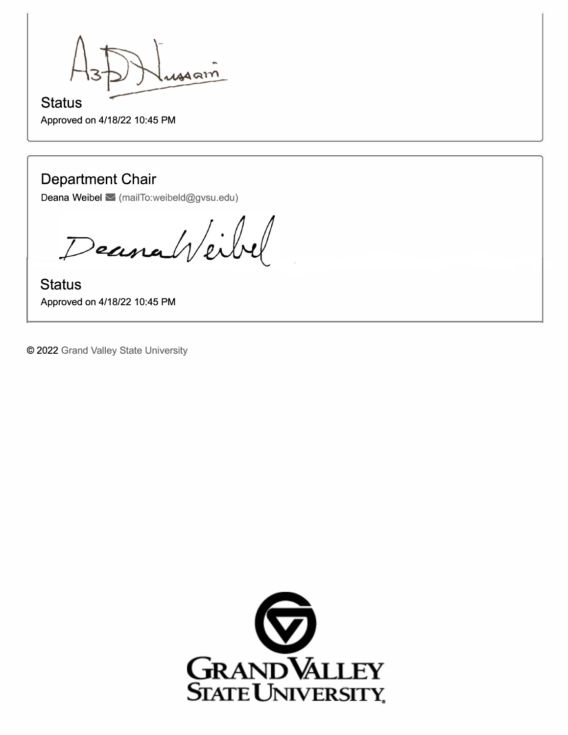ussam

## **Status**  Approved on 4/18/22 10:45 PM

# **Department Chair**

Deana Weibel M (mailTo:weibeld@gvsu.edu)

Deanaheilel

**Status**  Approved on 4/18/22 10:45 PM

© 2022 Grand Valley State University

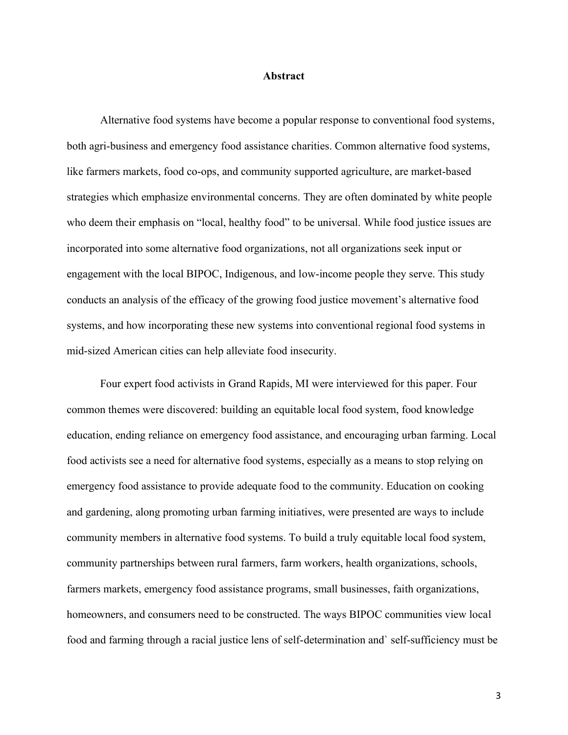## **Abstract**

Alternative food systems have become a popular response to conventional food systems, both agri-business and emergency food assistance charities. Common alternative food systems, like farmers markets, food co-ops, and community supported agriculture, are market-based strategies which emphasize environmental concerns. They are often dominated by white people who deem their emphasis on "local, healthy food" to be universal. While food justice issues are incorporated into some alternative food organizations, not all organizations seek input or engagement with the local BIPOC, Indigenous, and low-income people they serve. This study conducts an analysis of the efficacy of the growing food justice movement's alternative food systems, and how incorporating these new systems into conventional regional food systems in mid-sized American cities can help alleviate food insecurity.

Four expert food activists in Grand Rapids, MI were interviewed for this paper. Four common themes were discovered: building an equitable local food system, food knowledge education, ending reliance on emergency food assistance, and encouraging urban farming. Local food activists see a need for alternative food systems, especially as a means to stop relying on emergency food assistance to provide adequate food to the community. Education on cooking and gardening, along promoting urban farming initiatives, were presented are ways to include community members in alternative food systems. To build a truly equitable local food system, community partnerships between rural farmers, farm workers, health organizations, schools, farmers markets, emergency food assistance programs, small businesses, faith organizations, homeowners, and consumers need to be constructed. The ways BIPOC communities view local food and farming through a racial justice lens of self-determination and` self-sufficiency must be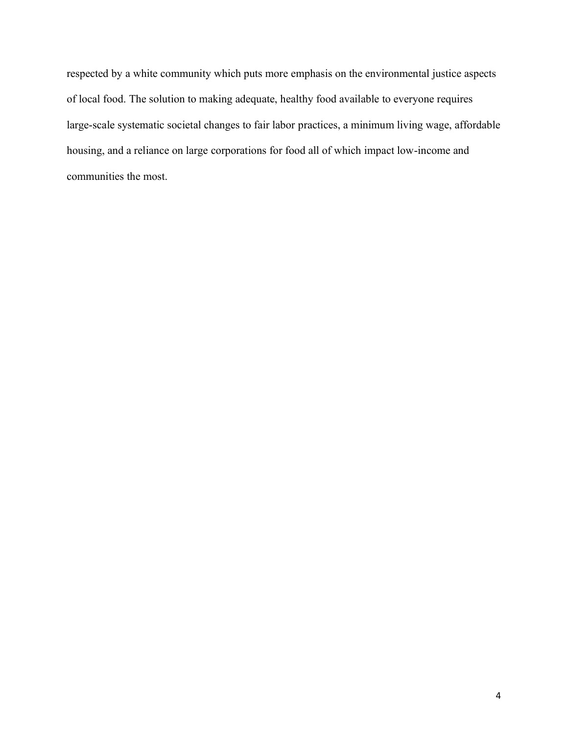respected by a white community which puts more emphasis on the environmental justice aspects of local food. The solution to making adequate, healthy food available to everyone requires large-scale systematic societal changes to fair labor practices, a minimum living wage, affordable housing, and a reliance on large corporations for food all of which impact low-income and communities the most.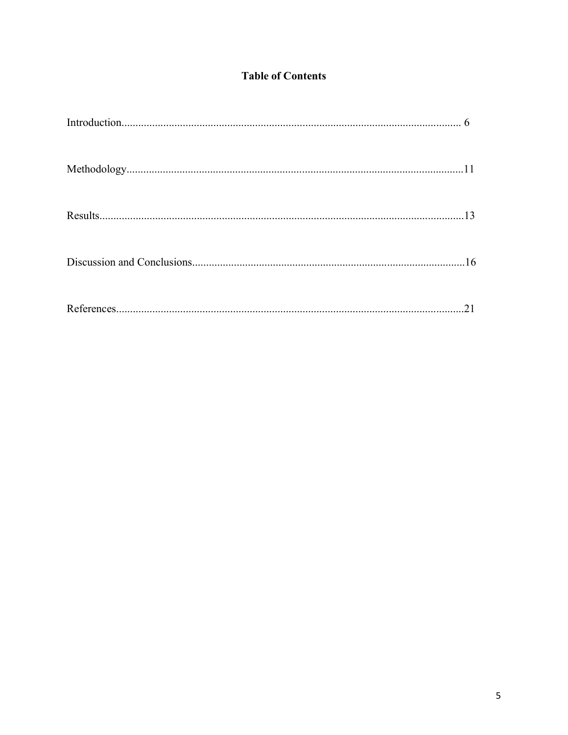## **Table of Contents**

| 13 |
|----|
|    |
|    |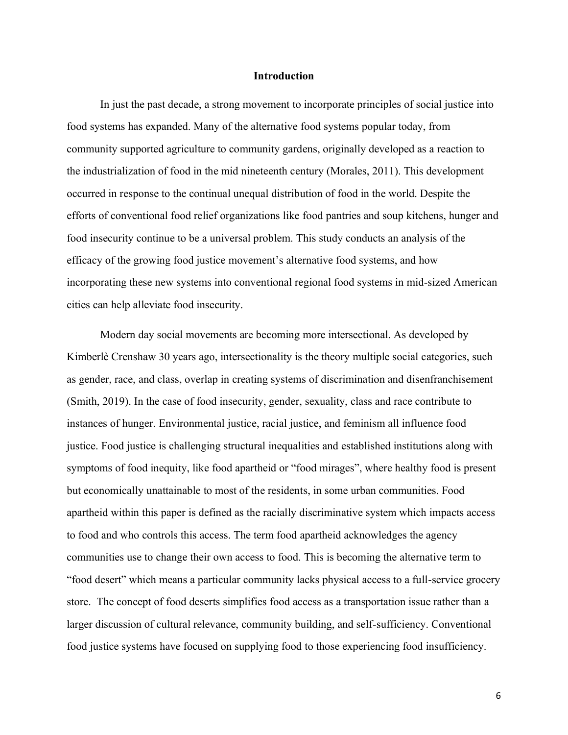## **Introduction**

In just the past decade, a strong movement to incorporate principles of social justice into food systems has expanded. Many of the alternative food systems popular today, from community supported agriculture to community gardens, originally developed as a reaction to the industrialization of food in the mid nineteenth century (Morales, 2011). This development occurred in response to the continual unequal distribution of food in the world. Despite the efforts of conventional food relief organizations like food pantries and soup kitchens, hunger and food insecurity continue to be a universal problem. This study conducts an analysis of the efficacy of the growing food justice movement's alternative food systems, and how incorporating these new systems into conventional regional food systems in mid-sized American cities can help alleviate food insecurity.

Modern day social movements are becoming more intersectional. As developed by Kimberlè Crenshaw 30 years ago, intersectionality is the theory multiple social categories, such as gender, race, and class, overlap in creating systems of discrimination and disenfranchisement (Smith, 2019). In the case of food insecurity, gender, sexuality, class and race contribute to instances of hunger. Environmental justice, racial justice, and feminism all influence food justice. Food justice is challenging structural inequalities and established institutions along with symptoms of food inequity, like food apartheid or "food mirages", where healthy food is present but economically unattainable to most of the residents, in some urban communities. Food apartheid within this paper is defined as the racially discriminative system which impacts access to food and who controls this access. The term food apartheid acknowledges the agency communities use to change their own access to food. This is becoming the alternative term to "food desert" which means a particular community lacks physical access to a full-service grocery store. The concept of food deserts simplifies food access as a transportation issue rather than a larger discussion of cultural relevance, community building, and self-sufficiency. Conventional food justice systems have focused on supplying food to those experiencing food insufficiency.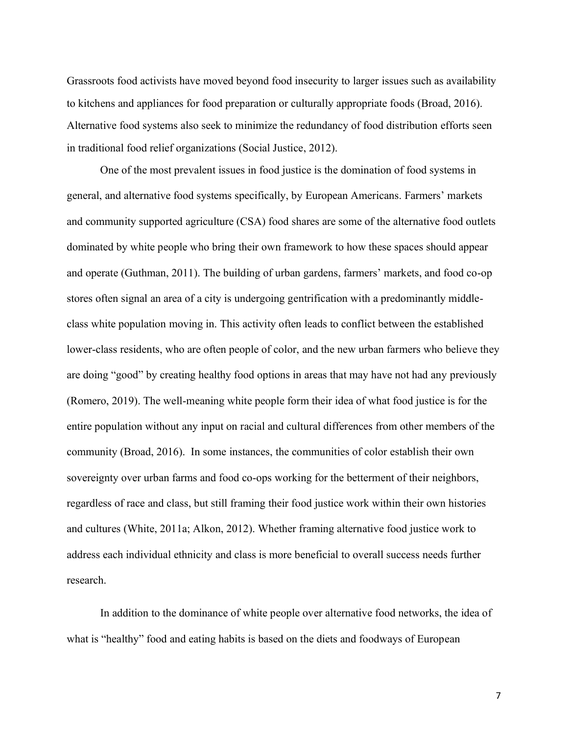Grassroots food activists have moved beyond food insecurity to larger issues such as availability to kitchens and appliances for food preparation or culturally appropriate foods (Broad, 2016). Alternative food systems also seek to minimize the redundancy of food distribution efforts seen in traditional food relief organizations (Social Justice, 2012).

One of the most prevalent issues in food justice is the domination of food systems in general, and alternative food systems specifically, by European Americans. Farmers' markets and community supported agriculture (CSA) food shares are some of the alternative food outlets dominated by white people who bring their own framework to how these spaces should appear and operate (Guthman, 2011). The building of urban gardens, farmers' markets, and food co-op stores often signal an area of a city is undergoing gentrification with a predominantly middleclass white population moving in. This activity often leads to conflict between the established lower-class residents, who are often people of color, and the new urban farmers who believe they are doing "good" by creating healthy food options in areas that may have not had any previously (Romero, 2019). The well-meaning white people form their idea of what food justice is for the entire population without any input on racial and cultural differences from other members of the community (Broad, 2016). In some instances, the communities of color establish their own sovereignty over urban farms and food co-ops working for the betterment of their neighbors, regardless of race and class, but still framing their food justice work within their own histories and cultures (White, 2011a; Alkon, 2012). Whether framing alternative food justice work to address each individual ethnicity and class is more beneficial to overall success needs further research.

In addition to the dominance of white people over alternative food networks, the idea of what is "healthy" food and eating habits is based on the diets and foodways of European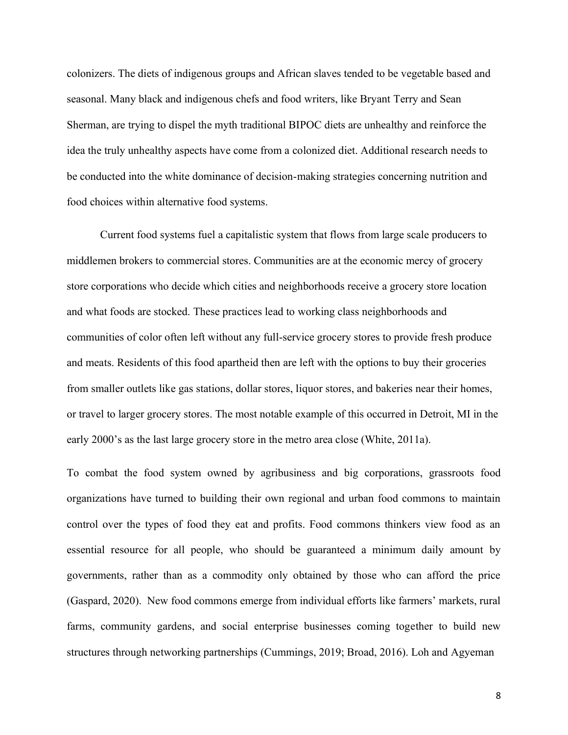colonizers. The diets of indigenous groups and African slaves tended to be vegetable based and seasonal. Many black and indigenous chefs and food writers, like Bryant Terry and Sean Sherman, are trying to dispel the myth traditional BIPOC diets are unhealthy and reinforce the idea the truly unhealthy aspects have come from a colonized diet. Additional research needs to be conducted into the white dominance of decision-making strategies concerning nutrition and food choices within alternative food systems.

Current food systems fuel a capitalistic system that flows from large scale producers to middlemen brokers to commercial stores. Communities are at the economic mercy of grocery store corporations who decide which cities and neighborhoods receive a grocery store location and what foods are stocked. These practices lead to working class neighborhoods and communities of color often left without any full-service grocery stores to provide fresh produce and meats. Residents of this food apartheid then are left with the options to buy their groceries from smaller outlets like gas stations, dollar stores, liquor stores, and bakeries near their homes, or travel to larger grocery stores. The most notable example of this occurred in Detroit, MI in the early 2000's as the last large grocery store in the metro area close (White,  $2011a$ ).

To combat the food system owned by agribusiness and big corporations, grassroots food organizations have turned to building their own regional and urban food commons to maintain control over the types of food they eat and profits. Food commons thinkers view food as an essential resource for all people, who should be guaranteed a minimum daily amount by governments, rather than as a commodity only obtained by those who can afford the price (Gaspard, 2020). New food commons emerge from individual efforts like farmers' markets, rural farms, community gardens, and social enterprise businesses coming together to build new structures through networking partnerships (Cummings, 2019; Broad, 2016). Loh and Agyeman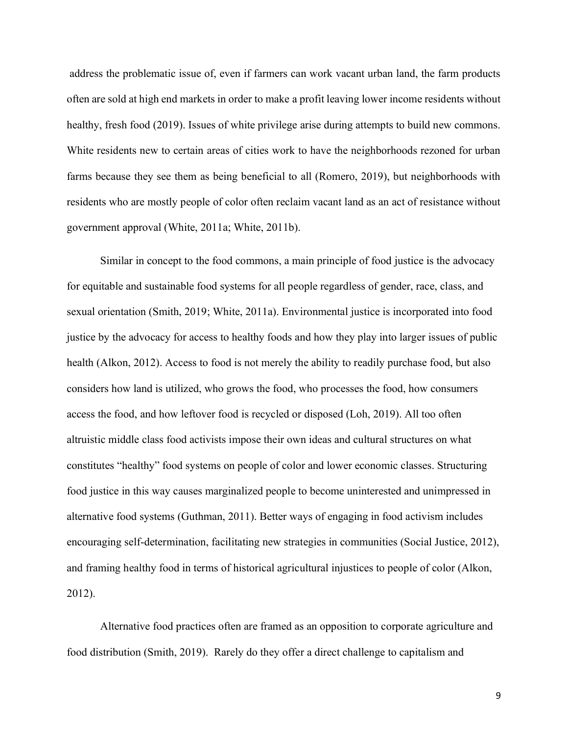address the problematic issue of, even if farmers can work vacant urban land, the farm products often are sold at high end markets in order to make a profit leaving lower income residents without healthy, fresh food (2019). Issues of white privilege arise during attempts to build new commons. White residents new to certain areas of cities work to have the neighborhoods rezoned for urban farms because they see them as being beneficial to all (Romero, 2019), but neighborhoods with residents who are mostly people of color often reclaim vacant land as an act of resistance without government approval (White, 2011a; White, 2011b).

Similar in concept to the food commons, a main principle of food justice is the advocacy for equitable and sustainable food systems for all people regardless of gender, race, class, and sexual orientation (Smith, 2019; White, 2011a). Environmental justice is incorporated into food justice by the advocacy for access to healthy foods and how they play into larger issues of public health (Alkon, 2012). Access to food is not merely the ability to readily purchase food, but also considers how land is utilized, who grows the food, who processes the food, how consumers access the food, and how leftover food is recycled or disposed (Loh, 2019). All too often altruistic middle class food activists impose their own ideas and cultural structures on what constitutes "healthy" food systems on people of color and lower economic classes. Structuring food justice in this way causes marginalized people to become uninterested and unimpressed in alternative food systems (Guthman, 2011). Better ways of engaging in food activism includes encouraging self-determination, facilitating new strategies in communities (Social Justice, 2012), and framing healthy food in terms of historical agricultural injustices to people of color (Alkon, 2012).

Alternative food practices often are framed as an opposition to corporate agriculture and food distribution (Smith, 2019). Rarely do they offer a direct challenge to capitalism and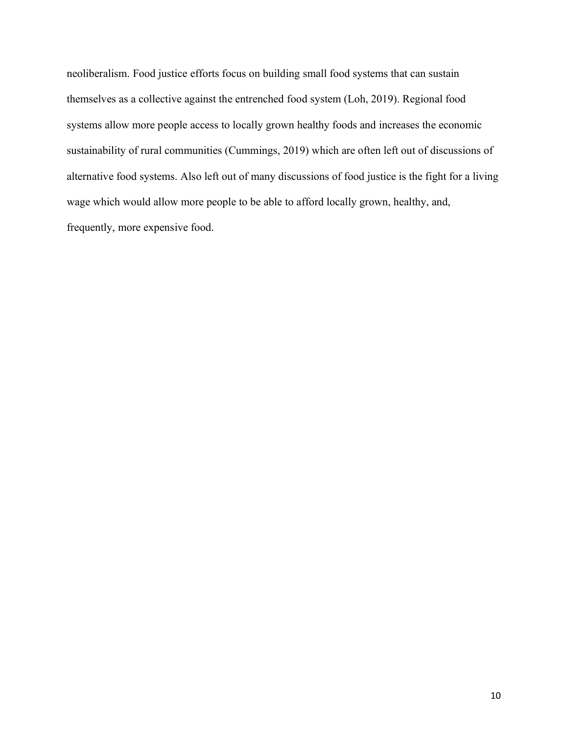neoliberalism. Food justice efforts focus on building small food systems that can sustain themselves as a collective against the entrenched food system (Loh, 2019). Regional food systems allow more people access to locally grown healthy foods and increases the economic sustainability of rural communities (Cummings, 2019) which are often left out of discussions of alternative food systems. Also left out of many discussions of food justice is the fight for a living wage which would allow more people to be able to afford locally grown, healthy, and, frequently, more expensive food.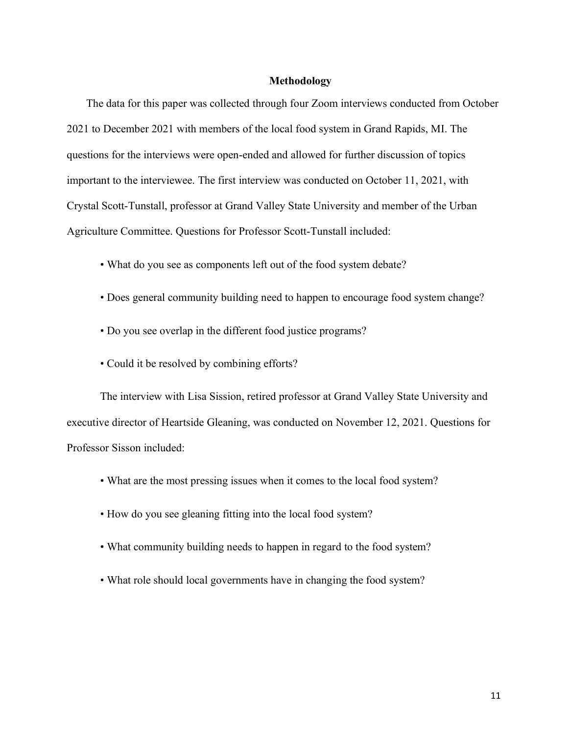## **Methodology**

 The data for this paper was collected through four Zoom interviews conducted from October 2021 to December 2021 with members of the local food system in Grand Rapids, MI. The questions for the interviews were open-ended and allowed for further discussion of topics important to the interviewee. The first interview was conducted on October 11, 2021, with Crystal Scott-Tunstall, professor at Grand Valley State University and member of the Urban Agriculture Committee. Questions for Professor Scott-Tunstall included:

- What do you see as components left out of the food system debate?
- Does general community building need to happen to encourage food system change?
- Do you see overlap in the different food justice programs?
- Could it be resolved by combining efforts?

The interview with Lisa Sission, retired professor at Grand Valley State University and executive director of Heartside Gleaning, was conducted on November 12, 2021. Questions for Professor Sisson included:

- What are the most pressing issues when it comes to the local food system?
- How do you see gleaning fitting into the local food system?
- What community building needs to happen in regard to the food system?
- What role should local governments have in changing the food system?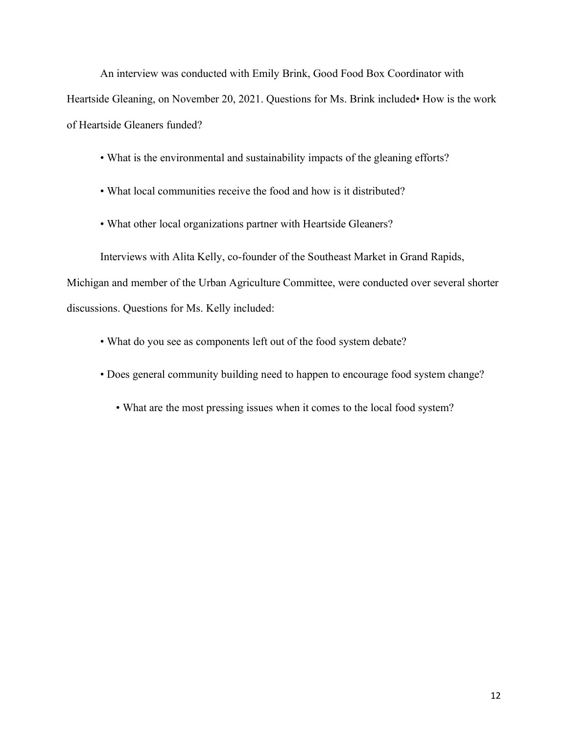An interview was conducted with Emily Brink, Good Food Box Coordinator with Heartside Gleaning, on November 20, 2021. Questions for Ms. Brink included• How is the work of Heartside Gleaners funded?

- What is the environmental and sustainability impacts of the gleaning efforts?
- What local communities receive the food and how is it distributed?
- What other local organizations partner with Heartside Gleaners?

Interviews with Alita Kelly, co-founder of the Southeast Market in Grand Rapids, Michigan and member of the Urban Agriculture Committee, were conducted over several shorter discussions. Questions for Ms. Kelly included:

- What do you see as components left out of the food system debate?
- Does general community building need to happen to encourage food system change?
	- What are the most pressing issues when it comes to the local food system?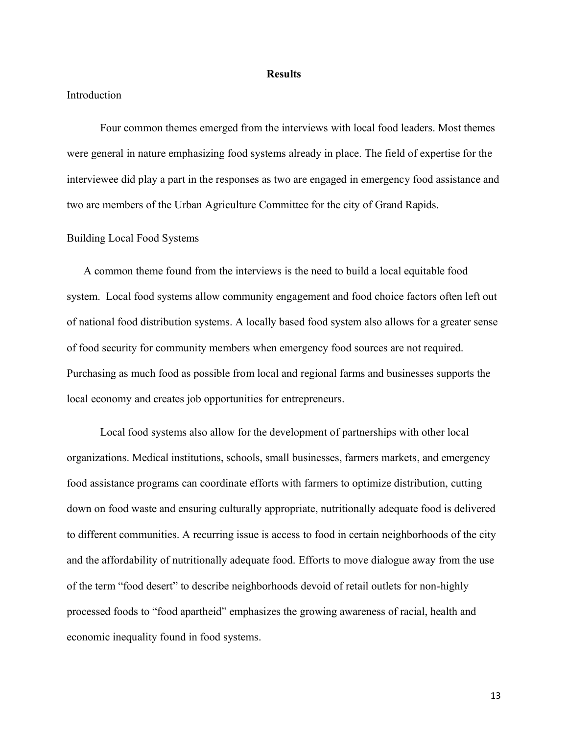#### **Results**

## Introduction

Four common themes emerged from the interviews with local food leaders. Most themes were general in nature emphasizing food systems already in place. The field of expertise for the interviewee did play a part in the responses as two are engaged in emergency food assistance and two are members of the Urban Agriculture Committee for the city of Grand Rapids.

## Building Local Food Systems

 A common theme found from the interviews is the need to build a local equitable food system. Local food systems allow community engagement and food choice factors often left out of national food distribution systems. A locally based food system also allows for a greater sense of food security for community members when emergency food sources are not required. Purchasing as much food as possible from local and regional farms and businesses supports the local economy and creates job opportunities for entrepreneurs.

Local food systems also allow for the development of partnerships with other local organizations. Medical institutions, schools, small businesses, farmers markets, and emergency food assistance programs can coordinate efforts with farmers to optimize distribution, cutting down on food waste and ensuring culturally appropriate, nutritionally adequate food is delivered to different communities. A recurring issue is access to food in certain neighborhoods of the city and the affordability of nutritionally adequate food. Efforts to move dialogue away from the use of the term "food desert" to describe neighborhoods devoid of retail outlets for non-highly processed foods to "food apartheid" emphasizes the growing awareness of racial, health and economic inequality found in food systems.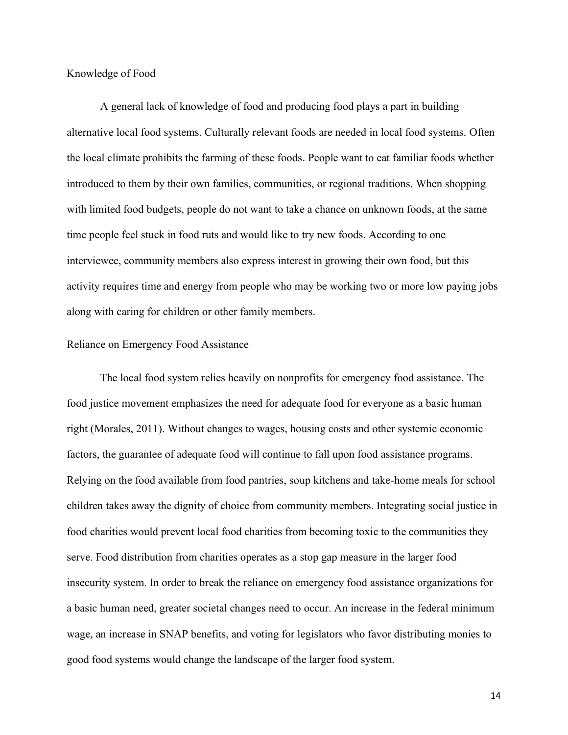Knowledge of Food

A general lack of knowledge of food and producing food plays a part in building alternative local food systems. Culturally relevant foods are needed in local food systems. Often the local climate prohibits the farming of these foods. People want to eat familiar foods whether introduced to them by their own families, communities, or regional traditions. When shopping with limited food budgets, people do not want to take a chance on unknown foods, at the same time people feel stuck in food ruts and would like to try new foods. According to one interviewee, community members also express interest in growing their own food, but this activity requires time and energy from people who may be working two or more low paying jobs along with caring for children or other family members.

## Reliance on Emergency Food Assistance

The local food system relies heavily on nonprofits for emergency food assistance. The food justice movement emphasizes the need for adequate food for everyone as a basic human right (Morales, 2011). Without changes to wages, housing costs and other systemic economic factors, the guarantee of adequate food will continue to fall upon food assistance programs. Relying on the food available from food pantries, soup kitchens and take-home meals for school children takes away the dignity of choice from community members. Integrating social justice in food charities would prevent local food charities from becoming toxic to the communities they serve. Food distribution from charities operates as a stop gap measure in the larger food insecurity system. In order to break the reliance on emergency food assistance organizations for a basic human need, greater societal changes need to occur. An increase in the federal minimum wage, an increase in SNAP benefits, and voting for legislators who favor distributing monies to good food systems would change the landscape of the larger food system.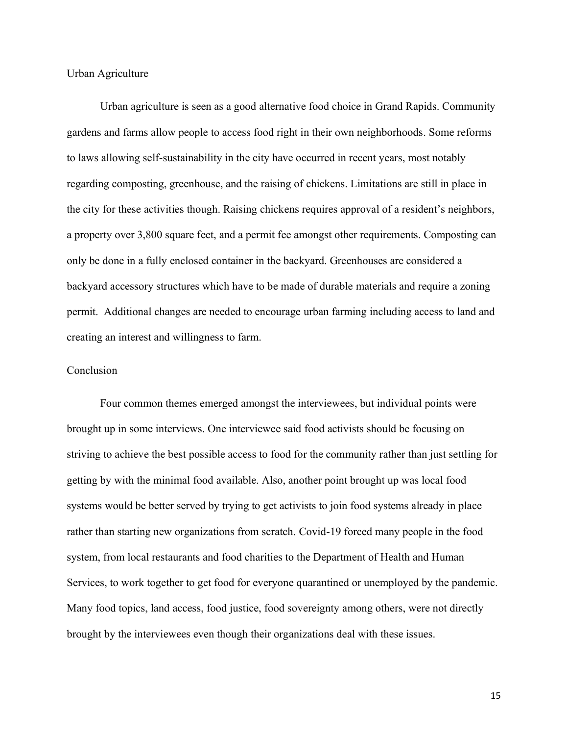Urban Agriculture

Urban agriculture is seen as a good alternative food choice in Grand Rapids. Community gardens and farms allow people to access food right in their own neighborhoods. Some reforms to laws allowing self-sustainability in the city have occurred in recent years, most notably regarding composting, greenhouse, and the raising of chickens. Limitations are still in place in the city for these activities though. Raising chickens requires approval of a resident's neighbors, a property over 3,800 square feet, and a permit fee amongst other requirements. Composting can only be done in a fully enclosed container in the backyard. Greenhouses are considered a backyard accessory structures which have to be made of durable materials and require a zoning permit. Additional changes are needed to encourage urban farming including access to land and creating an interest and willingness to farm.

## Conclusion

Four common themes emerged amongst the interviewees, but individual points were brought up in some interviews. One interviewee said food activists should be focusing on striving to achieve the best possible access to food for the community rather than just settling for getting by with the minimal food available. Also, another point brought up was local food systems would be better served by trying to get activists to join food systems already in place rather than starting new organizations from scratch. Covid-19 forced many people in the food system, from local restaurants and food charities to the Department of Health and Human Services, to work together to get food for everyone quarantined or unemployed by the pandemic. Many food topics, land access, food justice, food sovereignty among others, were not directly brought by the interviewees even though their organizations deal with these issues.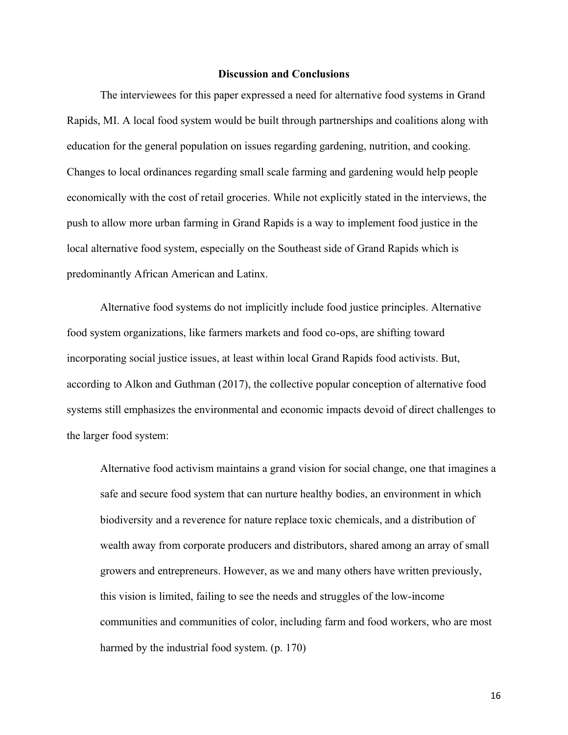## **Discussion and Conclusions**

The interviewees for this paper expressed a need for alternative food systems in Grand Rapids, MI. A local food system would be built through partnerships and coalitions along with education for the general population on issues regarding gardening, nutrition, and cooking. Changes to local ordinances regarding small scale farming and gardening would help people economically with the cost of retail groceries. While not explicitly stated in the interviews, the push to allow more urban farming in Grand Rapids is a way to implement food justice in the local alternative food system, especially on the Southeast side of Grand Rapids which is predominantly African American and Latinx.

Alternative food systems do not implicitly include food justice principles. Alternative food system organizations, like farmers markets and food co-ops, are shifting toward incorporating social justice issues, at least within local Grand Rapids food activists. But, according to Alkon and Guthman (2017), the collective popular conception of alternative food systems still emphasizes the environmental and economic impacts devoid of direct challenges to the larger food system:

Alternative food activism maintains a grand vision for social change, one that imagines a safe and secure food system that can nurture healthy bodies, an environment in which biodiversity and a reverence for nature replace toxic chemicals, and a distribution of wealth away from corporate producers and distributors, shared among an array of small growers and entrepreneurs. However, as we and many others have written previously, this vision is limited, failing to see the needs and struggles of the low-income communities and communities of color, including farm and food workers, who are most harmed by the industrial food system. (p. 170)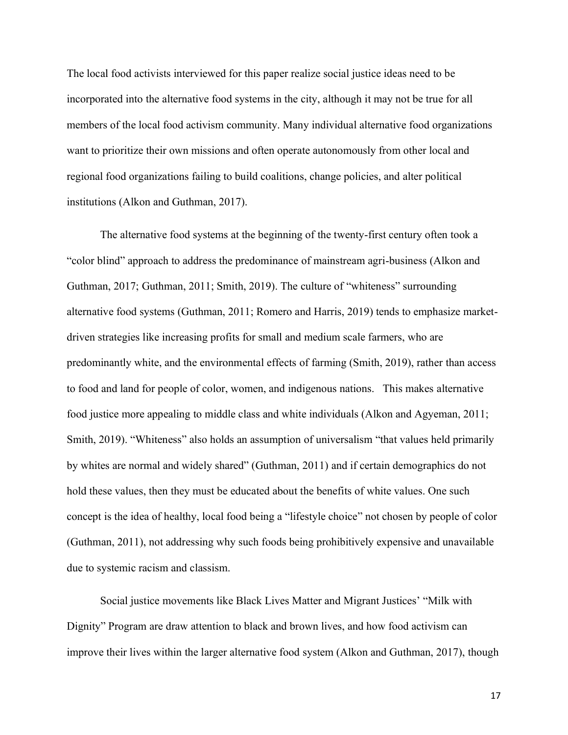The local food activists interviewed for this paper realize social justice ideas need to be incorporated into the alternative food systems in the city, although it may not be true for all members of the local food activism community. Many individual alternative food organizations want to prioritize their own missions and often operate autonomously from other local and regional food organizations failing to build coalitions, change policies, and alter political institutions (Alkon and Guthman, 2017).

The alternative food systems at the beginning of the twenty-first century often took a "color blind" approach to address the predominance of mainstream agri-business (Alkon and Guthman, 2017; Guthman, 2011; Smith, 2019). The culture of "whiteness" surrounding alternative food systems (Guthman, 2011; Romero and Harris, 2019) tends to emphasize marketdriven strategies like increasing profits for small and medium scale farmers, who are predominantly white, and the environmental effects of farming (Smith, 2019), rather than access to food and land for people of color, women, and indigenous nations. This makes alternative food justice more appealing to middle class and white individuals (Alkon and Agyeman, 2011; Smith, 2019). "Whiteness" also holds an assumption of universalism "that values held primarily by whites are normal and widely shared" (Guthman, 2011) and if certain demographics do not hold these values, then they must be educated about the benefits of white values. One such concept is the idea of healthy, local food being a "lifestyle choice" not chosen by people of color (Guthman, 2011), not addressing why such foods being prohibitively expensive and unavailable due to systemic racism and classism.

Social justice movements like Black Lives Matter and Migrant Justices' "Milk with Dignity" Program are draw attention to black and brown lives, and how food activism can improve their lives within the larger alternative food system (Alkon and Guthman, 2017), though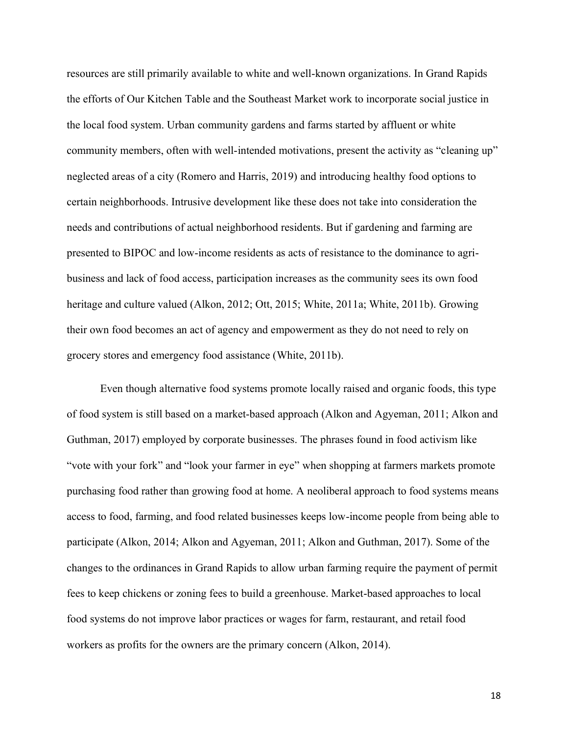resources are still primarily available to white and well-known organizations. In Grand Rapids the efforts of Our Kitchen Table and the Southeast Market work to incorporate social justice in the local food system. Urban community gardens and farms started by affluent or white community members, often with well-intended motivations, present the activity as "cleaning up" neglected areas of a city (Romero and Harris, 2019) and introducing healthy food options to certain neighborhoods. Intrusive development like these does not take into consideration the needs and contributions of actual neighborhood residents. But if gardening and farming are presented to BIPOC and low-income residents as acts of resistance to the dominance to agribusiness and lack of food access, participation increases as the community sees its own food heritage and culture valued (Alkon, 2012; Ott, 2015; White, 2011a; White, 2011b). Growing their own food becomes an act of agency and empowerment as they do not need to rely on grocery stores and emergency food assistance (White, 2011b).

Even though alternative food systems promote locally raised and organic foods, this type of food system is still based on a market-based approach (Alkon and Agyeman, 2011; Alkon and Guthman, 2017) employed by corporate businesses. The phrases found in food activism like "vote with your fork" and "look your farmer in eye" when shopping at farmers markets promote purchasing food rather than growing food at home. A neoliberal approach to food systems means access to food, farming, and food related businesses keeps low-income people from being able to participate (Alkon, 2014; Alkon and Agyeman, 2011; Alkon and Guthman, 2017). Some of the changes to the ordinances in Grand Rapids to allow urban farming require the payment of permit fees to keep chickens or zoning fees to build a greenhouse. Market-based approaches to local food systems do not improve labor practices or wages for farm, restaurant, and retail food workers as profits for the owners are the primary concern (Alkon, 2014).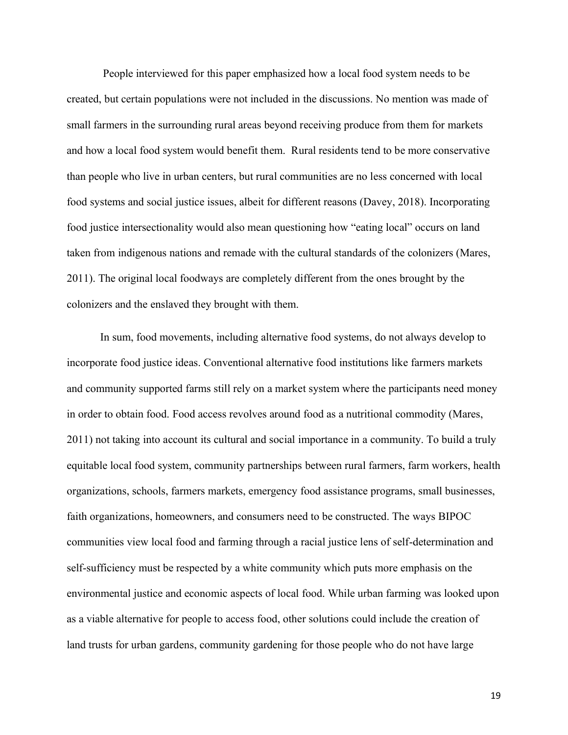People interviewed for this paper emphasized how a local food system needs to be created, but certain populations were not included in the discussions. No mention was made of small farmers in the surrounding rural areas beyond receiving produce from them for markets and how a local food system would benefit them. Rural residents tend to be more conservative than people who live in urban centers, but rural communities are no less concerned with local food systems and social justice issues, albeit for different reasons (Davey, 2018). Incorporating food justice intersectionality would also mean questioning how "eating local" occurs on land taken from indigenous nations and remade with the cultural standards of the colonizers (Mares, 2011). The original local foodways are completely different from the ones brought by the colonizers and the enslaved they brought with them.

In sum, food movements, including alternative food systems, do not always develop to incorporate food justice ideas. Conventional alternative food institutions like farmers markets and community supported farms still rely on a market system where the participants need money in order to obtain food. Food access revolves around food as a nutritional commodity (Mares, 2011) not taking into account its cultural and social importance in a community. To build a truly equitable local food system, community partnerships between rural farmers, farm workers, health organizations, schools, farmers markets, emergency food assistance programs, small businesses, faith organizations, homeowners, and consumers need to be constructed. The ways BIPOC communities view local food and farming through a racial justice lens of self-determination and self-sufficiency must be respected by a white community which puts more emphasis on the environmental justice and economic aspects of local food. While urban farming was looked upon as a viable alternative for people to access food, other solutions could include the creation of land trusts for urban gardens, community gardening for those people who do not have large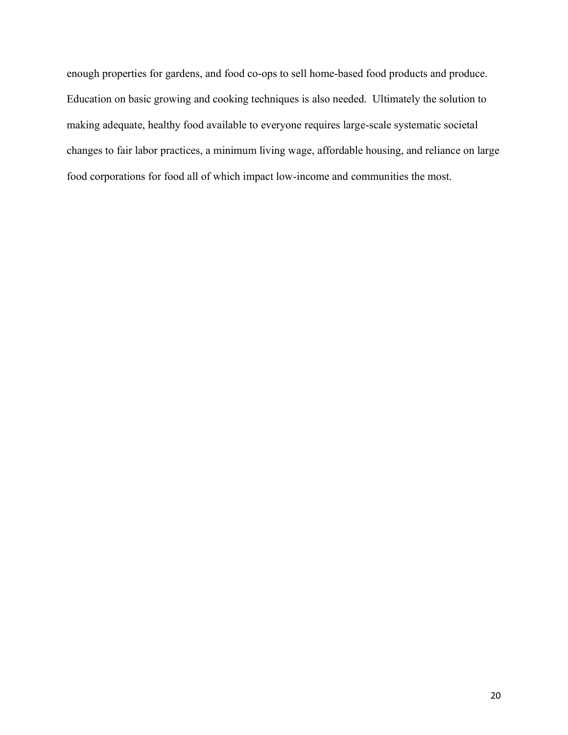enough properties for gardens, and food co-ops to sell home-based food products and produce. Education on basic growing and cooking techniques is also needed. Ultimately the solution to making adequate, healthy food available to everyone requires large-scale systematic societal changes to fair labor practices, a minimum living wage, affordable housing, and reliance on large food corporations for food all of which impact low-income and communities the most.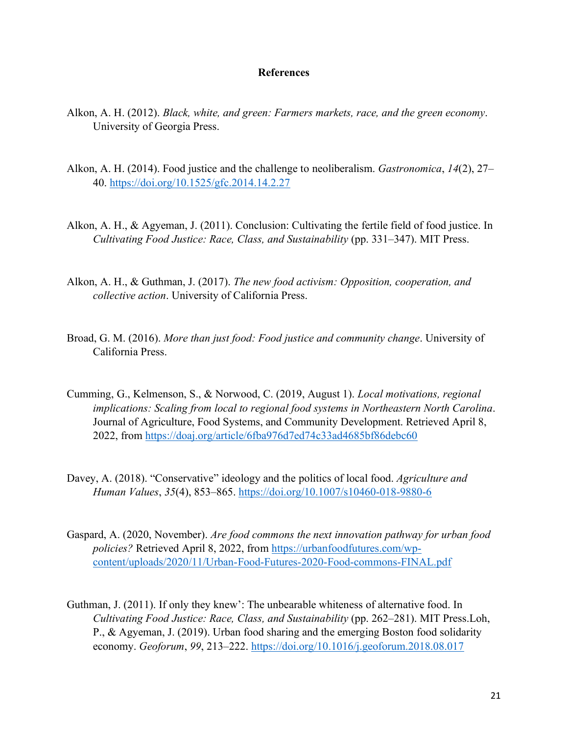## **References**

- Alkon, A. H. (2012). *Black, white, and green: Farmers markets, race, and the green economy*. University of Georgia Press.
- Alkon, A. H. (2014). Food justice and the challenge to neoliberalism. *Gastronomica*, 14(2), 27– 40.<https://doi.org/10.1525/gfc.2014.14.2.27>
- Alkon, A. H., & Agyeman, J. (2011). Conclusion: Cultivating the fertile field of food justice. In *Cultivating Food Justice: Race, Class, and Sustainability* (pp. 331–347). MIT Press.
- Alkon, A. H., & Guthman, J. (2017). *The new food activism: Opposition, cooperation, and collective action*. University of California Press.
- Broad, G. M. (2016). *More than just food: Food justice and community change*. University of California Press.
- Cumming, G., Kelmenson, S., & Norwood, C. (2019, August 1). *Local motivations, regional implications: Scaling from local to regional food systems in Northeastern North Carolina*. Journal of Agriculture, Food Systems, and Community Development. Retrieved April 8, 2022, from<https://doaj.org/article/6fba976d7ed74c33ad4685bf86debc60>
- Davey, A. (2018). "Conservative" ideology and the politics of local food. *Agriculture and Human Values*, 35(4), 853–865.<https://doi.org/10.1007/s10460-018-9880-6>
- Gaspard, A. (2020, November). *Are food commons the next innovation pathway for urban food policies?* Retrieved April 8, 2022, from [https://urbanfoodfutures.com/wp](https://urbanfoodfutures.com/wp-content/uploads/2020/11/Urban-Food-Futures-2020-Food-commons-FINAL.pdf)[content/uploads/2020/11/Urban-Food-Futures-2020-Food-commons-FINAL.pdf](https://urbanfoodfutures.com/wp-content/uploads/2020/11/Urban-Food-Futures-2020-Food-commons-FINAL.pdf)
- Guthman, J.  $(2011)$ . If only they knew': The unbearable whiteness of alternative food. In *Cultivating Food Justice: Race, Class, and Sustainability* (pp. 262–281). MIT Press.Loh, P., & Agyeman, J. (2019). Urban food sharing and the emerging Boston food solidarity economy. *Geoforum*, 99, 213–222.<https://doi.org/10.1016/j.geoforum.2018.08.017>